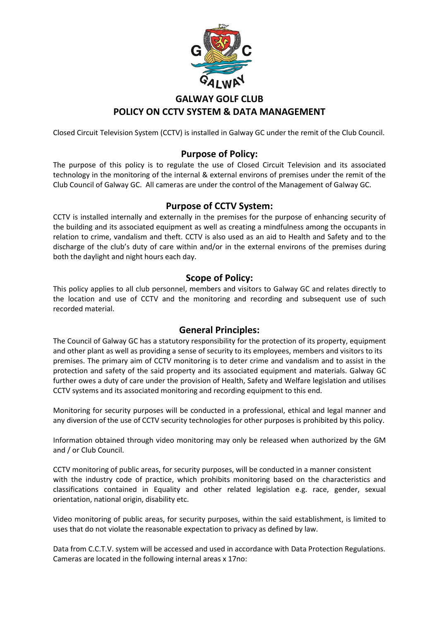

# **GALWAY GOLF CLUB POLICY ON CCTV SYSTEM & DATA MANAGEMENT**

Closed Circuit Television System (CCTV) is installed in Galway GC under the remit of the Club Council.

## **Purpose of Policy:**

The purpose of this policy is to regulate the use of Closed Circuit Television and its associated technology in the monitoring of the internal & external environs of premises under the remit of the Club Council of Galway GC. All cameras are under the control of the Management of Galway GC.

### **Purpose of CCTV System:**

CCTV is installed internally and externally in the premises for the purpose of enhancing security of the building and its associated equipment as well as creating a mindfulness among the occupants in relation to crime, vandalism and theft. CCTV is also used as an aid to Health and Safety and to the discharge of the club's duty of care within and/or in the external environs of the premises during both the daylight and night hours each day.

## **Scope of Policy:**

This policy applies to all club personnel, members and visitors to Galway GC and relates directly to the location and use of CCTV and the monitoring and recording and subsequent use of such recorded material.

#### **General Principles:**

The Council of Galway GC has a statutory responsibility for the protection of its property, equipment and other plant as well as providing a sense of security to its employees, members and visitors to its premises. The primary aim of CCTV monitoring is to deter crime and vandalism and to assist in the protection and safety of the said property and its associated equipment and materials. Galway GC further owes a duty of care under the provision of Health, Safety and Welfare legislation and utilises CCTV systems and its associated monitoring and recording equipment to this end.

Monitoring for security purposes will be conducted in a professional, ethical and legal manner and any diversion of the use of CCTV security technologies for other purposes is prohibited by this policy.

Information obtained through video monitoring may only be released when authorized by the GM and / or Club Council.

CCTV monitoring of public areas, for security purposes, will be conducted in a manner consistent with the industry code of practice, which prohibits monitoring based on the characteristics and classifications contained in Equality and other related legislation e.g. race, gender, sexual orientation, national origin, disability etc.

Video monitoring of public areas, for security purposes, within the said establishment, is limited to uses that do not violate the reasonable expectation to privacy as defined by law.

Data from C.C.T.V. system will be accessed and used in accordance with Data Protection Regulations. Cameras are located in the following internal areas x 17no: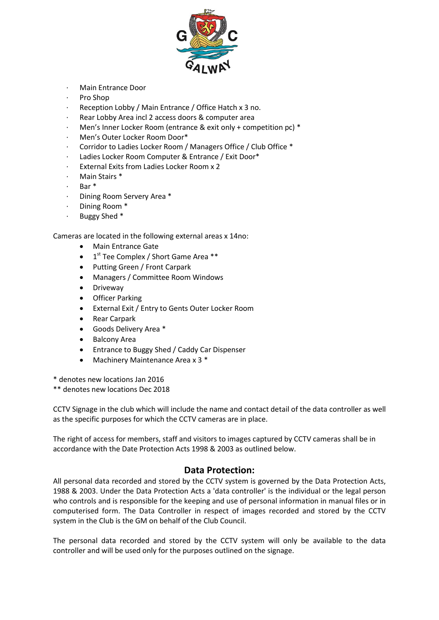

- · Main Entrance Door
- · Pro Shop
- Reception Lobby / Main Entrance / Office Hatch x 3 no.
- Rear Lobby Area incl 2 access doors & computer area
- Men's Inner Locker Room (entrance & exit only + competition pc) \*
- · Men's Outer Locker Room Door\*
- · Corridor to Ladies Locker Room / Managers Office / Club Office \*
- Ladies Locker Room Computer & Entrance / Exit Door\*
- External Exits from Ladies Locker Room x 2
- Main Stairs \*
- · Bar \*
- Dining Room Servery Area \*
- Dining Room \*
- · Buggy Shed \*

Cameras are located in the following external areas x 14no:

- Main Entrance Gate
- 1<sup>st</sup> Tee Complex / Short Game Area \*\*
- Putting Green / Front Carpark
- Managers / Committee Room Windows
- Driveway
- Officer Parking
- External Exit / Entry to Gents Outer Locker Room
- Rear Carpark
- Goods Delivery Area \*
- Balcony Area
- Entrance to Buggy Shed / Caddy Car Dispenser
- Machinery Maintenance Area x 3 \*

\* denotes new locations Jan 2016

\*\* denotes new locations Dec 2018

CCTV Signage in the club which will include the name and contact detail of the data controller as well as the specific purposes for which the CCTV cameras are in place.

The right of access for members, staff and visitors to images captured by CCTV cameras shall be in accordance with the Date Protection Acts 1998 & 2003 as outlined below.

#### **Data Protection:**

All personal data recorded and stored by the CCTV system is governed by the Data Protection Acts, 1988 & 2003. Under the Data Protection Acts a 'data controller' is the individual or the legal person who controls and is responsible for the keeping and use of personal information in manual files or in computerised form. The Data Controller in respect of images recorded and stored by the CCTV system in the Club is the GM on behalf of the Club Council.

The personal data recorded and stored by the CCTV system will only be available to the data controller and will be used only for the purposes outlined on the signage.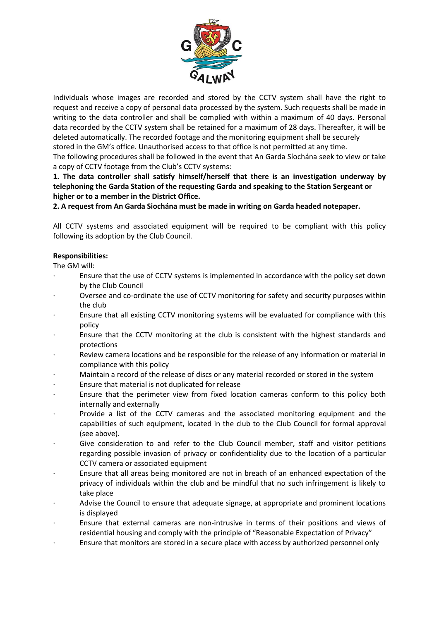

Individuals whose images are recorded and stored by the CCTV system shall have the right to request and receive a copy of personal data processed by the system. Such requests shall be made in writing to the data controller and shall be complied with within a maximum of 40 days. Personal data recorded by the CCTV system shall be retained for a maximum of 28 days. Thereafter, it will be deleted automatically. The recorded footage and the monitoring equipment shall be securely stored in the GM's office. Unauthorised access to that office is not permitted at any time. The following procedures shall be followed in the event that An Garda Síochána seek to view or take a copy of CCTV footage from the Club's CCTV systems:

**1. The data controller shall satisfy himself/herself that there is an investigation underway by telephoning the Garda Station of the requesting Garda and speaking to the Station Sergeant or higher or to a member in the District Office.**

**2. A request from An Garda Siochána must be made in writing on Garda headed notepaper.**

All CCTV systems and associated equipment will be required to be compliant with this policy following its adoption by the Club Council.

#### **Responsibilities:**

The GM will:

- · Ensure that the use of CCTV systems is implemented in accordance with the policy set down by the Club Council
- Oversee and co-ordinate the use of CCTV monitoring for safety and security purposes within the club
- · Ensure that all existing CCTV monitoring systems will be evaluated for compliance with this policy
- · Ensure that the CCTV monitoring at the club is consistent with the highest standards and protections
- Review camera locations and be responsible for the release of any information or material in compliance with this policy
- · Maintain a record of the release of discs or any material recorded or stored in the system
- Ensure that material is not duplicated for release
- Ensure that the perimeter view from fixed location cameras conform to this policy both internally and externally
- Provide a list of the CCTV cameras and the associated monitoring equipment and the capabilities of such equipment, located in the club to the Club Council for formal approval (see above).
- Give consideration to and refer to the Club Council member, staff and visitor petitions regarding possible invasion of privacy or confidentiality due to the location of a particular CCTV camera or associated equipment
- · Ensure that all areas being monitored are not in breach of an enhanced expectation of the privacy of individuals within the club and be mindful that no such infringement is likely to take place
- Advise the Council to ensure that adequate signage, at appropriate and prominent locations is displayed
- · Ensure that external cameras are non-intrusive in terms of their positions and views of residential housing and comply with the principle of "Reasonable Expectation of Privacy"
- · Ensure that monitors are stored in a secure place with access by authorized personnel only